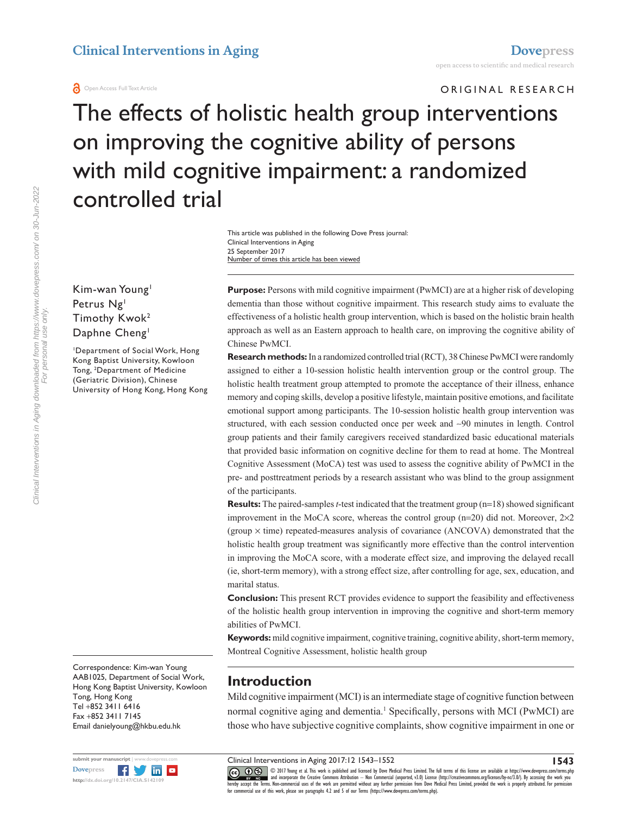**a** Open Access Full Text Article

ORIGINAL RESEARCH

The effects of holistic health group interventions on improving the cognitive ability of persons with mild cognitive impairment: a randomized controlled trial

> Number of times this article has been viewed This article was published in the following Dove Press journal: Clinical Interventions in Aging 25 September 2017

Kim-wan Young<sup>1</sup> Petrus Ng<sup>1</sup> Timothy Kwok2 Daphne Cheng<sup>1</sup>

1 Department of Social Work, Hong Kong Baptist University, Kowloon Tong, 2 Department of Medicine (Geriatric Division), Chinese University of Hong Kong, Hong Kong

Correspondence: Kim-wan Young AAB1025, Department of Social Work, Hong Kong Baptist University, Kowloon Tong, Hong Kong Tel +852 3411 6416 Fax +852 3411 7145 Email [danielyoung@hkbu.edu.hk](mailto:danielyoung@hkbu.edu.hk)



**Purpose:** Persons with mild cognitive impairment (PwMCI) are at a higher risk of developing dementia than those without cognitive impairment. This research study aims to evaluate the effectiveness of a holistic health group intervention, which is based on the holistic brain health approach as well as an Eastern approach to health care, on improving the cognitive ability of Chinese PwMCI.

**Research methods:** In a randomized controlled trial (RCT), 38 Chinese PwMCI were randomly assigned to either a 10-session holistic health intervention group or the control group. The holistic health treatment group attempted to promote the acceptance of their illness, enhance memory and coping skills, develop a positive lifestyle, maintain positive emotions, and facilitate emotional support among participants. The 10-session holistic health group intervention was structured, with each session conducted once per week and ~90 minutes in length. Control group patients and their family caregivers received standardized basic educational materials that provided basic information on cognitive decline for them to read at home. The Montreal Cognitive Assessment (MoCA) test was used to assess the cognitive ability of PwMCI in the pre- and posttreatment periods by a research assistant who was blind to the group assignment of the participants.

**Results:** The paired-samples *t*-test indicated that the treatment group (n=18) showed significant improvement in the MoCA score, whereas the control group (n=20) did not. Moreover,  $2\times2$ (group × time) repeated-measures analysis of covariance (ANCOVA) demonstrated that the holistic health group treatment was significantly more effective than the control intervention in improving the MoCA score, with a moderate effect size, and improving the delayed recall (ie, short-term memory), with a strong effect size, after controlling for age, sex, education, and marital status.

**Conclusion:** This present RCT provides evidence to support the feasibility and effectiveness of the holistic health group intervention in improving the cognitive and short-term memory abilities of PwMCI.

**Keywords:** mild cognitive impairment, cognitive training, cognitive ability, short-term memory, Montreal Cognitive Assessment, holistic health group

# **Introduction**

Mild cognitive impairment (MCI) is an intermediate stage of cognitive function between normal cognitive aging and dementia.<sup>1</sup> Specifically, persons with MCI (PwMCI) are those who have subjective cognitive complaints, show cognitive impairment in one or

Clinical Interventions in Aging 2017:12 1543–1552

**1543**

CCC 1 © 2017 Young et al. This work is published and licensed by Dove Medical Press Limited. The full terms of this license are available at <https://www.dovepress.com/terms.php><br>[hereby accept the Terms](http://www.dovepress.com/permissions.php). Non-commercial uses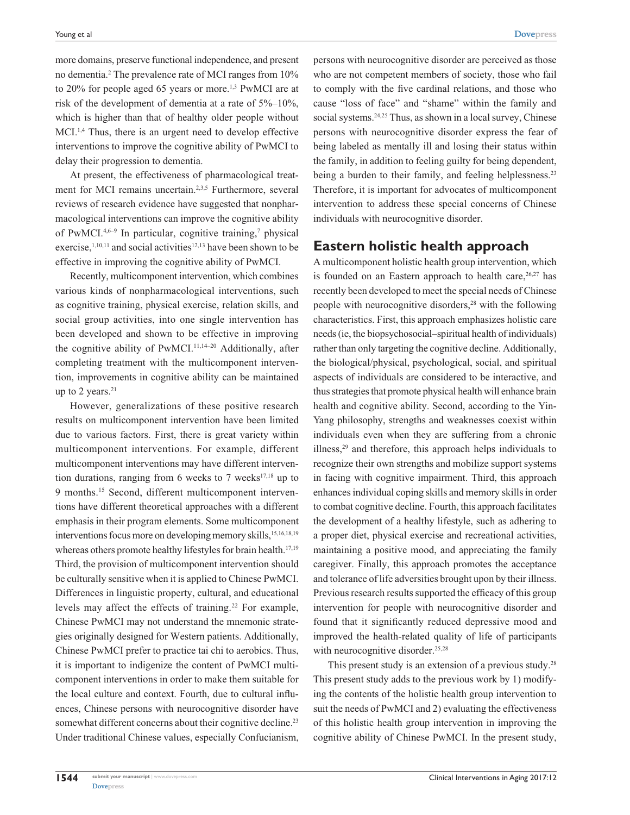more domains, preserve functional independence, and present no dementia.2 The prevalence rate of MCI ranges from 10% to 20% for people aged 65 years or more.<sup>1,3</sup> PwMCI are at risk of the development of dementia at a rate of 5%–10%, which is higher than that of healthy older people without MCI.1,4 Thus, there is an urgent need to develop effective interventions to improve the cognitive ability of PwMCI to delay their progression to dementia.

At present, the effectiveness of pharmacological treatment for MCI remains uncertain.<sup>2,3,5</sup> Furthermore, several reviews of research evidence have suggested that nonpharmacological interventions can improve the cognitive ability of PwMCI. $4,6-9$  In particular, cognitive training,<sup>7</sup> physical exercise, $1,10,11$  and social activities<sup>12,13</sup> have been shown to be effective in improving the cognitive ability of PwMCI.

Recently, multicomponent intervention, which combines various kinds of nonpharmacological interventions, such as cognitive training, physical exercise, relation skills, and social group activities, into one single intervention has been developed and shown to be effective in improving the cognitive ability of PwMCI.<sup>11,14-20</sup> Additionally, after completing treatment with the multicomponent intervention, improvements in cognitive ability can be maintained up to 2 years. $21$ 

However, generalizations of these positive research results on multicomponent intervention have been limited due to various factors. First, there is great variety within multicomponent interventions. For example, different multicomponent interventions may have different intervention durations, ranging from 6 weeks to 7 weeks $17,18$  up to 9 months.<sup>15</sup> Second, different multicomponent interventions have different theoretical approaches with a different emphasis in their program elements. Some multicomponent interventions focus more on developing memory skills,<sup>15,16,18,19</sup> whereas others promote healthy lifestyles for brain health.<sup>17,19</sup> Third, the provision of multicomponent intervention should be culturally sensitive when it is applied to Chinese PwMCI. Differences in linguistic property, cultural, and educational levels may affect the effects of training.<sup>22</sup> For example, Chinese PwMCI may not understand the mnemonic strategies originally designed for Western patients. Additionally, Chinese PwMCI prefer to practice tai chi to aerobics. Thus, it is important to indigenize the content of PwMCI multicomponent interventions in order to make them suitable for the local culture and context. Fourth, due to cultural influences, Chinese persons with neurocognitive disorder have somewhat different concerns about their cognitive decline.<sup>23</sup> Under traditional Chinese values, especially Confucianism,

persons with neurocognitive disorder are perceived as those who are not competent members of society, those who fail to comply with the five cardinal relations, and those who cause "loss of face" and "shame" within the family and social systems.<sup>24,25</sup> Thus, as shown in a local survey, Chinese persons with neurocognitive disorder express the fear of being labeled as mentally ill and losing their status within the family, in addition to feeling guilty for being dependent, being a burden to their family, and feeling helplessness.<sup>23</sup> Therefore, it is important for advocates of multicomponent intervention to address these special concerns of Chinese individuals with neurocognitive disorder.

# **Eastern holistic health approach**

A multicomponent holistic health group intervention, which is founded on an Eastern approach to health care, $26,27$  has recently been developed to meet the special needs of Chinese people with neurocognitive disorders,<sup>28</sup> with the following characteristics. First, this approach emphasizes holistic care needs (ie, the biopsychosocial–spiritual health of individuals) rather than only targeting the cognitive decline. Additionally, the biological/physical, psychological, social, and spiritual aspects of individuals are considered to be interactive, and thus strategies that promote physical health will enhance brain health and cognitive ability. Second, according to the Yin-Yang philosophy, strengths and weaknesses coexist within individuals even when they are suffering from a chronic illness, $29$  and therefore, this approach helps individuals to recognize their own strengths and mobilize support systems in facing with cognitive impairment. Third, this approach enhances individual coping skills and memory skills in order to combat cognitive decline. Fourth, this approach facilitates the development of a healthy lifestyle, such as adhering to a proper diet, physical exercise and recreational activities, maintaining a positive mood, and appreciating the family caregiver. Finally, this approach promotes the acceptance and tolerance of life adversities brought upon by their illness. Previous research results supported the efficacy of this group intervention for people with neurocognitive disorder and found that it significantly reduced depressive mood and improved the health-related quality of life of participants with neurocognitive disorder.<sup>25,28</sup>

This present study is an extension of a previous study.<sup>28</sup> This present study adds to the previous work by 1) modifying the contents of the holistic health group intervention to suit the needs of PwMCI and 2) evaluating the effectiveness of this holistic health group intervention in improving the cognitive ability of Chinese PwMCI. In the present study,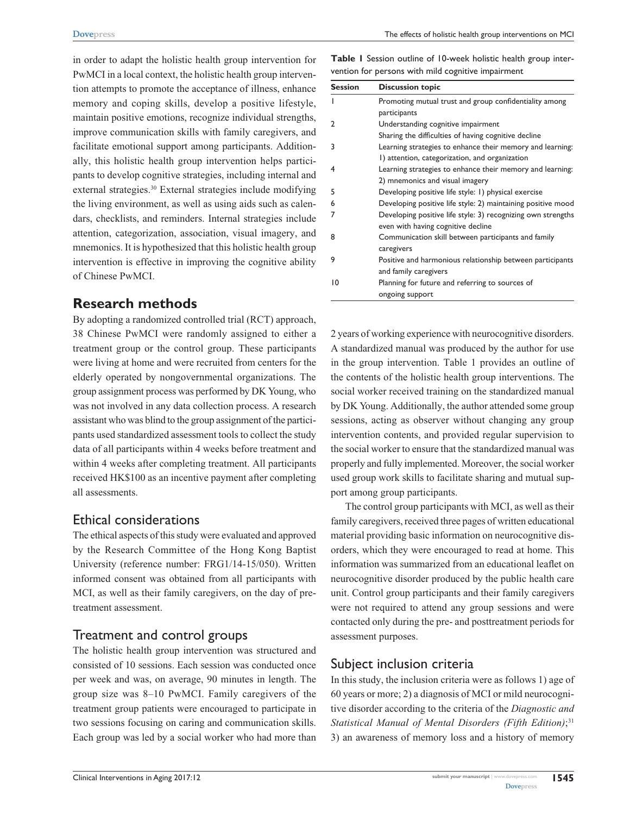in order to adapt the holistic health group intervention for PwMCI in a local context, the holistic health group intervention attempts to promote the acceptance of illness, enhance memory and coping skills, develop a positive lifestyle, maintain positive emotions, recognize individual strengths, improve communication skills with family caregivers, and facilitate emotional support among participants. Additionally, this holistic health group intervention helps participants to develop cognitive strategies, including internal and external strategies.<sup>30</sup> External strategies include modifying the living environment, as well as using aids such as calendars, checklists, and reminders. Internal strategies include attention, categorization, association, visual imagery, and mnemonics. It is hypothesized that this holistic health group intervention is effective in improving the cognitive ability of Chinese PwMCI.

# **Research methods**

By adopting a randomized controlled trial (RCT) approach, 38 Chinese PwMCI were randomly assigned to either a treatment group or the control group. These participants were living at home and were recruited from centers for the elderly operated by nongovernmental organizations. The group assignment process was performed by DK Young, who was not involved in any data collection process. A research assistant who was blind to the group assignment of the participants used standardized assessment tools to collect the study data of all participants within 4 weeks before treatment and within 4 weeks after completing treatment. All participants received HK\$100 as an incentive payment after completing all assessments.

# Ethical considerations

The ethical aspects of this study were evaluated and approved by the Research Committee of the Hong Kong Baptist University (reference number: FRG1/14-15/050). Written informed consent was obtained from all participants with MCI, as well as their family caregivers, on the day of pretreatment assessment.

# Treatment and control groups

The holistic health group intervention was structured and consisted of 10 sessions. Each session was conducted once per week and was, on average, 90 minutes in length. The group size was 8–10 PwMCI. Family caregivers of the treatment group patients were encouraged to participate in two sessions focusing on caring and communication skills. Each group was led by a social worker who had more than **Table 1** Session outline of 10-week holistic health group intervention for persons with mild cognitive impairment

| <b>Session</b> | <b>Discussion topic</b>                                                                            |
|----------------|----------------------------------------------------------------------------------------------------|
|                | Promoting mutual trust and group confidentiality among<br>participants                             |
| 2              | Understanding cognitive impairment                                                                 |
|                | Sharing the difficulties of having cognitive decline                                               |
| 3              | Learning strategies to enhance their memory and learning:                                          |
|                | I) attention, categorization, and organization                                                     |
| 4              | Learning strategies to enhance their memory and learning:                                          |
|                | 2) mnemonics and visual imagery                                                                    |
| 5              | Developing positive life style: 1) physical exercise                                               |
| 6              | Developing positive life style: 2) maintaining positive mood                                       |
|                | Developing positive life style: 3) recognizing own strengths<br>even with having cognitive decline |
| 8              | Communication skill between participants and family<br>caregivers                                  |
| 9              | Positive and harmonious relationship between participants<br>and family caregivers                 |
| 10             | Planning for future and referring to sources of<br>ongoing support                                 |

2 years of working experience with neurocognitive disorders. A standardized manual was produced by the author for use in the group intervention. Table 1 provides an outline of the contents of the holistic health group interventions. The social worker received training on the standardized manual by DK Young. Additionally, the author attended some group sessions, acting as observer without changing any group intervention contents, and provided regular supervision to the social worker to ensure that the standardized manual was properly and fully implemented. Moreover, the social worker used group work skills to facilitate sharing and mutual support among group participants.

The control group participants with MCI, as well as their family caregivers, received three pages of written educational material providing basic information on neurocognitive disorders, which they were encouraged to read at home. This information was summarized from an educational leaflet on neurocognitive disorder produced by the public health care unit. Control group participants and their family caregivers were not required to attend any group sessions and were contacted only during the pre- and posttreatment periods for assessment purposes.

# Subject inclusion criteria

In this study, the inclusion criteria were as follows 1) age of 60 years or more; 2) a diagnosis of MCI or mild neurocognitive disorder according to the criteria of the *Diagnostic and Statistical Manual of Mental Disorders (Fifth Edition)*; 31 3) an awareness of memory loss and a history of memory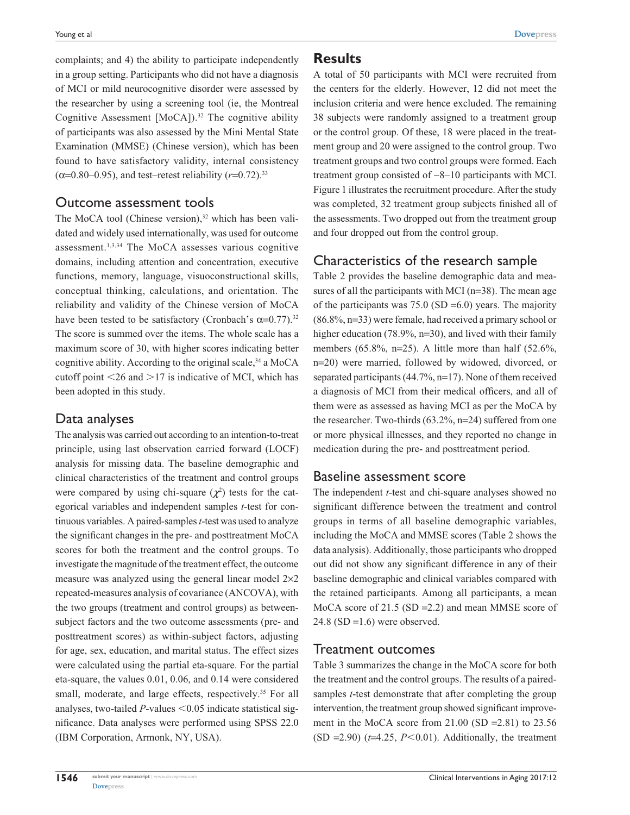complaints; and 4) the ability to participate independently in a group setting. Participants who did not have a diagnosis of MCI or mild neurocognitive disorder were assessed by the researcher by using a screening tool (ie, the Montreal Cognitive Assessment  $[MoCA]$ .<sup>32</sup> The cognitive ability of participants was also assessed by the Mini Mental State Examination (MMSE) (Chinese version), which has been found to have satisfactory validity, internal consistency  $(α=0.80-0.95)$ , and test–retest reliability  $(ν=0.72).^{33}$ 

### Outcome assessment tools

The MoCA tool (Chinese version), $32$  which has been validated and widely used internationally, was used for outcome assessment.1,3,34 The MoCA assesses various cognitive domains, including attention and concentration, executive functions, memory, language, visuoconstructional skills, conceptual thinking, calculations, and orientation. The reliability and validity of the Chinese version of MoCA have been tested to be satisfactory (Cronbach's  $\alpha$ =0.77).<sup>32</sup> The score is summed over the items. The whole scale has a maximum score of 30, with higher scores indicating better cognitive ability. According to the original scale,  $34$  a MoCA cutoff point  $\leq 26$  and  $>17$  is indicative of MCI, which has been adopted in this study.

# Data analyses

The analysis was carried out according to an intention-to-treat principle, using last observation carried forward (LOCF) analysis for missing data. The baseline demographic and clinical characteristics of the treatment and control groups were compared by using chi-square  $(\chi^2)$  tests for the categorical variables and independent samples *t*-test for continuous variables. A paired-samples *t*-test was used to analyze the significant changes in the pre- and posttreatment MoCA scores for both the treatment and the control groups. To investigate the magnitude of the treatment effect, the outcome measure was analyzed using the general linear model 2×2 repeated-measures analysis of covariance (ANCOVA), with the two groups (treatment and control groups) as betweensubject factors and the two outcome assessments (pre- and posttreatment scores) as within-subject factors, adjusting for age, sex, education, and marital status. The effect sizes were calculated using the partial eta-square. For the partial eta-square, the values 0.01, 0.06, and 0.14 were considered small, moderate, and large effects, respectively.<sup>35</sup> For all analyses, two-tailed  $P$ -values  $< 0.05$  indicate statistical significance. Data analyses were performed using SPSS 22.0 (IBM Corporation, Armonk, NY, USA).

# **Results**

A total of 50 participants with MCI were recruited from the centers for the elderly. However, 12 did not meet the inclusion criteria and were hence excluded. The remaining 38 subjects were randomly assigned to a treatment group or the control group. Of these, 18 were placed in the treatment group and 20 were assigned to the control group. Two treatment groups and two control groups were formed. Each treatment group consisted of ~8–10 participants with MCI. Figure 1 illustrates the recruitment procedure. After the study was completed, 32 treatment group subjects finished all of the assessments. Two dropped out from the treatment group and four dropped out from the control group.

# Characteristics of the research sample

Table 2 provides the baseline demographic data and measures of all the participants with MCI (n=38). The mean age of the participants was  $75.0$  (SD =6.0) years. The majority (86.8%, n=33) were female, had received a primary school or higher education (78.9%, n=30), and lived with their family members (65.8%, n=25). A little more than half (52.6%, n=20) were married, followed by widowed, divorced, or separated participants (44.7%, n=17). None of them received a diagnosis of MCI from their medical officers, and all of them were as assessed as having MCI as per the MoCA by the researcher. Two-thirds (63.2%, n=24) suffered from one or more physical illnesses, and they reported no change in medication during the pre- and posttreatment period.

### Baseline assessment score

The independent *t*-test and chi-square analyses showed no significant difference between the treatment and control groups in terms of all baseline demographic variables, including the MoCA and MMSE scores (Table 2 shows the data analysis). Additionally, those participants who dropped out did not show any significant difference in any of their baseline demographic and clinical variables compared with the retained participants. Among all participants, a mean MoCA score of 21.5 (SD = 2.2) and mean MMSE score of 24.8 (SD =  $1.6$ ) were observed.

### Treatment outcomes

Table 3 summarizes the change in the MoCA score for both the treatment and the control groups. The results of a pairedsamples *t*-test demonstrate that after completing the group intervention, the treatment group showed significant improvement in the MoCA score from 21.00 (SD =2.81) to 23.56  $(SD = 2.90)$  ( $t=4.25$ ,  $P < 0.01$ ). Additionally, the treatment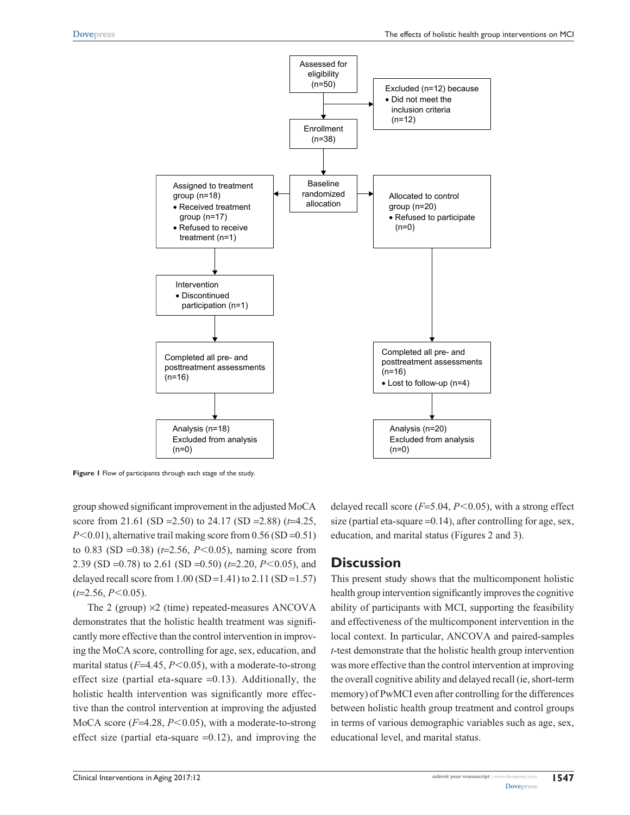

**Figure 1** Flow of participants through each stage of the study.

group showed significant improvement in the adjusted MoCA score from 21.61 (SD =2.50) to 24.17 (SD =2.88) (*t*=4.25,  $P<0.01$ ), alternative trail making score from  $0.56$  (SD =0.51) to 0.83 (SD =0.38) ( $t=2.56$ ,  $P<0.05$ ), naming score from 2.39 (SD =0.78) to 2.61 (SD =0.50) ( $t=2.20$ ,  $P<0.05$ ), and delayed recall score from  $1.00$  (SD =1.41) to  $2.11$  (SD =1.57)  $(t=2.56, P<0.05)$ .

The 2 (group)  $\times$ 2 (time) repeated-measures ANCOVA demonstrates that the holistic health treatment was significantly more effective than the control intervention in improving the MoCA score, controlling for age, sex, education, and marital status  $(F=4.45, P<0.05)$ , with a moderate-to-strong effect size (partial eta-square  $=0.13$ ). Additionally, the holistic health intervention was significantly more effective than the control intervention at improving the adjusted MoCA score (*F*=4.28, *P*<0.05), with a moderate-to-strong effect size (partial eta-square  $=0.12$ ), and improving the delayed recall score  $(F=5.04, P<0.05)$ , with a strong effect size (partial eta-square  $=0.14$ ), after controlling for age, sex, education, and marital status (Figures 2 and 3).

### **Discussion**

This present study shows that the multicomponent holistic health group intervention significantly improves the cognitive ability of participants with MCI, supporting the feasibility and effectiveness of the multicomponent intervention in the local context. In particular, ANCOVA and paired-samples *t*-test demonstrate that the holistic health group intervention was more effective than the control intervention at improving the overall cognitive ability and delayed recall (ie, short-term memory) of PwMCI even after controlling for the differences between holistic health group treatment and control groups in terms of various demographic variables such as age, sex, educational level, and marital status.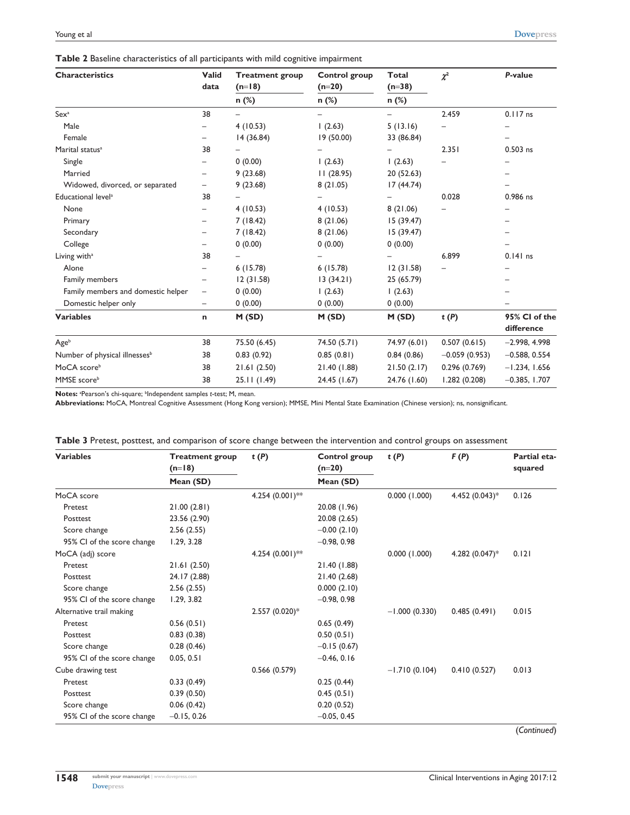| <b>Characteristics</b>                    | Valid<br>data     | <b>Treatment group</b><br>$(n=18)$ | Control group<br>$(n=20)$ | Total<br>$(n=38)$ | $\chi^2$        | P-value         |
|-------------------------------------------|-------------------|------------------------------------|---------------------------|-------------------|-----------------|-----------------|
|                                           |                   | n (%)                              | n (%)                     | n (%)             |                 |                 |
| Sex <sup>a</sup>                          | 38                |                                    |                           |                   | 2.459           | $0.117$ ns      |
| Male                                      |                   | 4(10.53)                           | (2.63)                    | 5(13.16)          |                 |                 |
| Female                                    | -                 | 14(36.84)                          | 19(50.00)                 | 33 (86.84)        |                 |                 |
| Marital status <sup>a</sup>               | 38                |                                    |                           |                   | 2.351           | $0.503$ ns      |
| Single                                    |                   | 0(0.00)                            | (2.63)                    | 1(2.63)           |                 |                 |
| Married                                   | -                 | 9(23.68)                           | 11(28.95)                 | 20(52.63)         |                 |                 |
| Widowed, divorced, or separated           | -                 | 9(23.68)                           | 8(21.05)                  | 17(44.74)         |                 |                 |
| Educational level <sup>a</sup>            | 38                |                                    |                           |                   | 0.028           | $0.986$ ns      |
| None                                      |                   | 4(10.53)                           | 4(10.53)                  | 8(21.06)          |                 |                 |
| Primary                                   | -                 | 7(18.42)                           | 8(21.06)                  | 15 (39.47)        |                 |                 |
| Secondary                                 |                   | 7(18.42)                           | 8(21.06)                  | 15 (39.47)        |                 |                 |
| College                                   | -                 | 0(0.00)                            | 0(0.00)                   | 0(0.00)           |                 |                 |
| Living with <sup>a</sup>                  | 38                |                                    |                           |                   | 6.899           | $0.141$ ns      |
| Alone                                     |                   | 6(15.78)                           | 6(15.78)                  | 12(31.58)         |                 |                 |
| Family members                            | -                 | 12(31.58)                          | 13(34.21)                 | 25 (65.79)        |                 |                 |
| Family members and domestic helper        | $\qquad \qquad -$ | 0(0.00)                            | 1(2.63)                   | 1(2.63)           |                 |                 |
| Domestic helper only                      | -                 | 0(0.00)                            | 0(0.00)                   | 0(0.00)           |                 |                 |
| <b>Variables</b>                          | n                 | M(SD)                              | M(SD)                     | M(SD)             | t(P)            | 95% CI of the   |
|                                           |                   |                                    |                           |                   |                 | difference      |
| Age <sup>b</sup>                          | 38                | 75.50 (6.45)                       | 74.50 (5.71)              | 74.97 (6.01)      | 0.507(0.615)    | $-2.998, 4.998$ |
| Number of physical illnesses <sup>b</sup> | 38                | 0.83(0.92)                         | 0.85(0.81)                | 0.84(0.86)        | $-0.059(0.953)$ | $-0.588, 0.554$ |
| MoCA scoreb                               | 38                | 21.61(2.50)                        | 21.40 (1.88)              | 21.50(2.17)       | 0.296(0.769)    | $-1.234, 1.656$ |
| MMSE scoreb                               | 38                | 25.11(1.49)                        | 24.45 (1.67)              | 24.76 (1.60)      | 1.282 (0.208)   | $-0.385, 1.707$ |

Notes: <sup>a</sup>Pearson's chi-square; <sup>b</sup>Independent samples *t*-test; M, mean.

**Abbreviations:** MoCA, Montreal Cognitive Assessment (Hong Kong version); MMSE, Mini Mental State Examination (Chinese version); ns, nonsignificant.

| <b>Variables</b>           | <b>Treatment group</b><br>$(n=18)$ | t(P)               | Control group<br>$(n=20)$ | t(P)            | F(P)              | Partial eta-<br>squared |
|----------------------------|------------------------------------|--------------------|---------------------------|-----------------|-------------------|-------------------------|
|                            | Mean (SD)                          |                    | Mean (SD)                 |                 |                   |                         |
| MoCA score                 |                                    | 4.254 $(0.001)$ ** |                           | 0.000(1.000)    | 4.452 $(0.043)*$  | 0.126                   |
| Pretest                    | 21.00(2.81)                        |                    | 20.08 (1.96)              |                 |                   |                         |
| Posttest                   | 23.56 (2.90)                       |                    | 20.08 (2.65)              |                 |                   |                         |
| Score change               | 2.56(2.55)                         |                    | $-0.00(2.10)$             |                 |                   |                         |
| 95% CI of the score change | 1.29, 3.28                         |                    | $-0.98, 0.98$             |                 |                   |                         |
| MoCA (adj) score           |                                    | 4.254 (0.001)**    |                           | 0.000(1.000)    | 4.282 $(0.047)$ * | 0.121                   |
| Pretest                    | 21.61(2.50)                        |                    | 21.40 (1.88)              |                 |                   |                         |
| Posttest                   | 24.17 (2.88)                       |                    | 21.40(2.68)               |                 |                   |                         |
| Score change               | 2.56(2.55)                         |                    | 0.000(2.10)               |                 |                   |                         |
| 95% CI of the score change | 1.29, 3.82                         |                    | $-0.98, 0.98$             |                 |                   |                         |
| Alternative trail making   |                                    | $2.557(0.020)*$    |                           | $-1.000(0.330)$ | 0.485(0.491)      | 0.015                   |
| Pretest                    | 0.56(0.51)                         |                    | 0.65(0.49)                |                 |                   |                         |
| Posttest                   | 0.83(0.38)                         |                    | 0.50(0.51)                |                 |                   |                         |
| Score change               | 0.28(0.46)                         |                    | $-0.15(0.67)$             |                 |                   |                         |
| 95% CI of the score change | 0.05, 0.51                         |                    | $-0.46, 0.16$             |                 |                   |                         |
| Cube drawing test          |                                    | 0.566(0.579)       |                           | $-1.710(0.104)$ | 0.410(0.527)      | 0.013                   |
| Pretest                    | 0.33(0.49)                         |                    | 0.25(0.44)                |                 |                   |                         |
| Posttest                   | 0.39(0.50)                         |                    | 0.45(0.51)                |                 |                   |                         |
| Score change               | 0.06(0.42)                         |                    | 0.20(0.52)                |                 |                   |                         |
| 95% CI of the score change | $-0.15, 0.26$                      |                    | $-0.05, 0.45$             |                 |                   |                         |
|                            |                                    |                    |                           |                 |                   | $\sim$ $\sim$           |

|  | Table 3 Pretest, posttest, and comparison of score change between the intervention and control groups on assessment |  |
|--|---------------------------------------------------------------------------------------------------------------------|--|
|  |                                                                                                                     |  |

(*Continued*)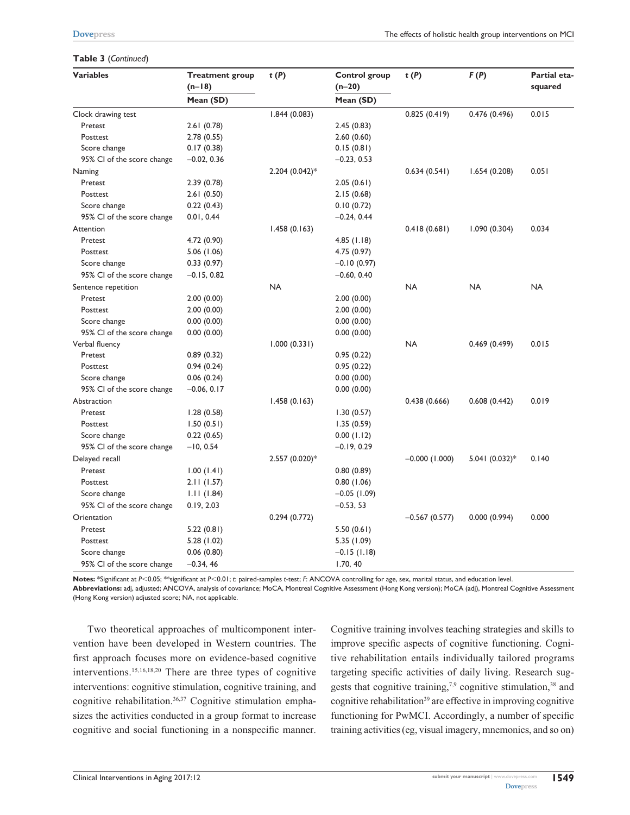#### **Table 3** (*Continued*)

| <b>Variables</b>           | <b>Treatment group</b><br>$(n=18)$ | t(P)            | Control group<br>$(n=20)$ | t(P)             | F(P)             | Partial eta-<br>squared |
|----------------------------|------------------------------------|-----------------|---------------------------|------------------|------------------|-------------------------|
|                            | Mean (SD)                          |                 | Mean (SD)                 |                  |                  |                         |
| Clock drawing test         |                                    | 1.844(0.083)    |                           | 0.825(0.419)     | 0.476(0.496)     | 0.015                   |
| Pretest                    | 2.61(0.78)                         |                 | 2.45(0.83)                |                  |                  |                         |
| Posttest                   | 2.78(0.55)                         |                 | 2.60(0.60)                |                  |                  |                         |
| Score change               | 0.17(0.38)                         |                 | 0.15(0.81)                |                  |                  |                         |
| 95% CI of the score change | $-0.02, 0.36$                      |                 | $-0.23, 0.53$             |                  |                  |                         |
| Naming                     |                                    | $2.204(0.042)*$ |                           | 0.634(0.541)     | 1.654(0.208)     | 0.051                   |
| Pretest                    | 2.39(0.78)                         |                 | 2.05(0.61)                |                  |                  |                         |
| Posttest                   | 2.61(0.50)                         |                 | 2.15(0.68)                |                  |                  |                         |
| Score change               | 0.22(0.43)                         |                 | 0.10(0.72)                |                  |                  |                         |
| 95% CI of the score change | 0.01, 0.44                         |                 | $-0.24, 0.44$             |                  |                  |                         |
| Attention                  |                                    | 1.458(0.163)    |                           | 0.418(0.681)     | 1.090(0.304)     | 0.034                   |
| Pretest                    | 4.72 (0.90)                        |                 | 4.85(1.18)                |                  |                  |                         |
| Posttest                   | 5.06 (1.06)                        |                 | 4.75 (0.97)               |                  |                  |                         |
| Score change               | 0.33(0.97)                         |                 | $-0.10(0.97)$             |                  |                  |                         |
| 95% CI of the score change | $-0.15, 0.82$                      |                 | $-0.60, 0.40$             |                  |                  |                         |
| Sentence repetition        |                                    | <b>NA</b>       |                           | <b>NA</b>        | <b>NA</b>        | <b>NA</b>               |
| Pretest                    | 2.00(0.00)                         |                 | 2.00(0.00)                |                  |                  |                         |
| Posttest                   | 2.00(0.00)                         |                 | 2.00(0.00)                |                  |                  |                         |
| Score change               | 0.00(0.00)                         |                 | 0.00(0.00)                |                  |                  |                         |
| 95% CI of the score change | 0.00(0.00)                         |                 | 0.00(0.00)                |                  |                  |                         |
| Verbal fluency             |                                    | 1.000(0.331)    |                           | <b>NA</b>        | 0.469(0.499)     | 0.015                   |
| Pretest                    | 0.89(0.32)                         |                 | 0.95(0.22)                |                  |                  |                         |
| Posttest                   | 0.94(0.24)                         |                 | 0.95(0.22)                |                  |                  |                         |
| Score change               | 0.06(0.24)                         |                 | 0.00(0.00)                |                  |                  |                         |
| 95% CI of the score change | $-0.06, 0.17$                      |                 | 0.00(0.00)                |                  |                  |                         |
| Abstraction                |                                    | 1.458(0.163)    |                           | 0.438(0.666)     | 0.608(0.442)     | 0.019                   |
| Pretest                    | 1.28(0.58)                         |                 | 1.30(0.57)                |                  |                  |                         |
| Posttest                   | 1.50(0.51)                         |                 | 1.35(0.59)                |                  |                  |                         |
| Score change               | 0.22(0.65)                         |                 | 0.00(1.12)                |                  |                  |                         |
| 95% CI of the score change | $-10, 0.54$                        |                 | $-0.19, 0.29$             |                  |                  |                         |
| Delayed recall             |                                    | 2.557 (0.020)*  |                           | $-0.000$ (1.000) | 5.041 $(0.032)*$ | 0.140                   |
| Pretest                    | 1.00(1.41)                         |                 | 0.80(0.89)                |                  |                  |                         |
| Posttest                   | 2.11(1.57)                         |                 | 0.80(1.06)                |                  |                  |                         |
| Score change               | 1.11(1.84)                         |                 | $-0.05(1.09)$             |                  |                  |                         |
| 95% CI of the score change | 0.19, 2.03                         |                 | $-0.53, 53$               |                  |                  |                         |
| Orientation                |                                    | 0.294(0.772)    |                           | $-0.567(0.577)$  | 0.000(0.994)     | 0.000                   |
| Pretest                    | 5.22(0.81)                         |                 | 5.50(0.61)                |                  |                  |                         |
| Posttest                   | 5.28 (1.02)                        |                 | 5.35 (1.09)               |                  |                  |                         |
| Score change               | 0.06(0.80)                         |                 | $-0.15(1.18)$             |                  |                  |                         |
| 95% CI of the score change | $-0.34, 46$                        |                 | 1.70, 40                  |                  |                  |                         |

Notes: \*Significant at *P*<0.05; \*\*significant at *P*<0.01; *t*: paired-samples *t*-test; *F*: ANCOVA controlling for age, sex, marital status, and education level.

**Abbreviations:** adj, adjusted; ANCOVA, analysis of covariance; MoCA, Montreal Cognitive Assessment (Hong Kong version); MoCA (adj), Montreal Cognitive Assessment (Hong Kong version) adjusted score; NA, not applicable.

Two theoretical approaches of multicomponent intervention have been developed in Western countries. The first approach focuses more on evidence-based cognitive interventions.15,16,18,20 There are three types of cognitive interventions: cognitive stimulation, cognitive training, and cognitive rehabilitation.<sup>36,37</sup> Cognitive stimulation emphasizes the activities conducted in a group format to increase cognitive and social functioning in a nonspecific manner.

Cognitive training involves teaching strategies and skills to improve specific aspects of cognitive functioning. Cognitive rehabilitation entails individually tailored programs targeting specific activities of daily living. Research suggests that cognitive training,<sup>7,9</sup> cognitive stimulation, $38$  and cognitive rehabilitation<sup>39</sup> are effective in improving cognitive functioning for PwMCI. Accordingly, a number of specific training activities (eg, visual imagery, mnemonics, and so on)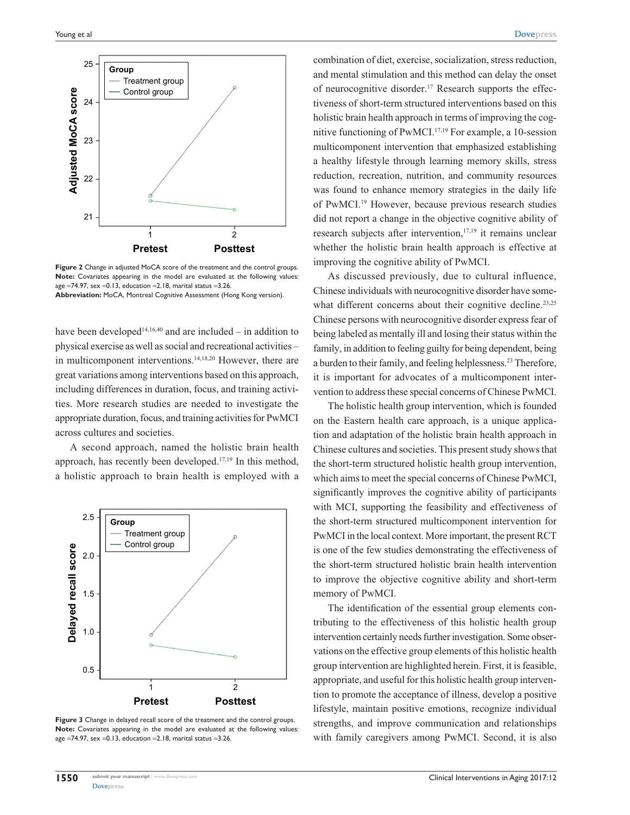



**Figure 2** Change in adjusted MoCA score of the treatment and the control groups. **Note:** Covariates appearing in the model are evaluated at the following values: age  $=74.97$ , sex  $=0.13$ , education  $=2.18$ , marital status  $=3.26$ . **Abbreviation:** MoCA, Montreal Cognitive Assessment (Hong Kong version).

have been developed<sup>14,16,40</sup> and are included – in addition to physical exercise as well as social and recreational activities – in multicomponent interventions.14,18,20 However, there are great variations among interventions based on this approach, including differences in duration, focus, and training activities. More research studies are needed to investigate the appropriate duration, focus, and training activities for PwMCI across cultures and societies.

A second approach, named the holistic brain health approach, has recently been developed. $17,19$  In this method, a holistic approach to brain health is employed with a



**Figure 3** Change in delayed recall score of the treatment and the control groups. **Note:** Covariates appearing in the model are evaluated at the following values: age  $=74.97$ , sex  $=0.13$ , education  $=2.18$ , marital status  $=3.26$ .

combination of diet, exercise, socialization, stress reduction, and mental stimulation and this method can delay the onset of neurocognitive disorder.17 Research supports the effectiveness of short-term structured interventions based on this holistic brain health approach in terms of improving the cognitive functioning of PwMCI.17,19 For example, a 10-session multicomponent intervention that emphasized establishing a healthy lifestyle through learning memory skills, stress reduction, recreation, nutrition, and community resources was found to enhance memory strategies in the daily life of PwMCI.19 However, because previous research studies did not report a change in the objective cognitive ability of research subjects after intervention,<sup>17,19</sup> it remains unclear whether the holistic brain health approach is effective at improving the cognitive ability of PwMCI.

As discussed previously, due to cultural influence, Chinese individuals with neurocognitive disorder have somewhat different concerns about their cognitive decline.<sup>23,25</sup> Chinese persons with neurocognitive disorder express fear of being labeled as mentally ill and losing their status within the family, in addition to feeling guilty for being dependent, being a burden to their family, and feeling helplessness.23 Therefore, it is important for advocates of a multicomponent intervention to address these special concerns of Chinese PwMCI.

The holistic health group intervention, which is founded on the Eastern health care approach, is a unique application and adaptation of the holistic brain health approach in Chinese cultures and societies. This present study shows that the short-term structured holistic health group intervention, which aims to meet the special concerns of Chinese PwMCI, significantly improves the cognitive ability of participants with MCI, supporting the feasibility and effectiveness of the short-term structured multicomponent intervention for PwMCI in the local context. More important, the present RCT is one of the few studies demonstrating the effectiveness of the short-term structured holistic brain health intervention to improve the objective cognitive ability and short-term memory of PwMCI.

The identification of the essential group elements contributing to the effectiveness of this holistic health group intervention certainly needs further investigation. Some observations on the effective group elements of this holistic health group intervention are highlighted herein. First, it is feasible, appropriate, and useful for this holistic health group intervention to promote the acceptance of illness, develop a positive lifestyle, maintain positive emotions, recognize individual strengths, and improve communication and relationships with family caregivers among PwMCI. Second, it is also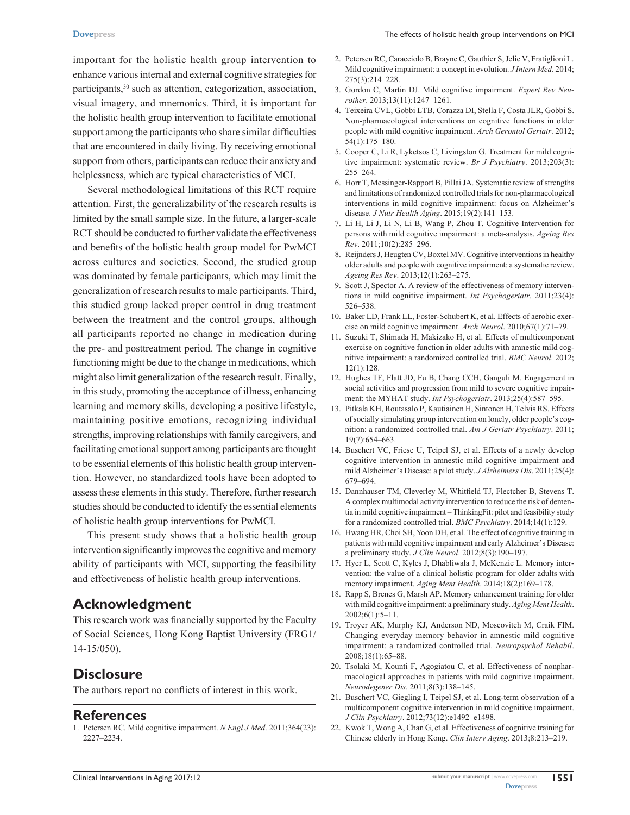important for the holistic health group intervention to enhance various internal and external cognitive strategies for participants,<sup>30</sup> such as attention, categorization, association, visual imagery, and mnemonics. Third, it is important for the holistic health group intervention to facilitate emotional support among the participants who share similar difficulties that are encountered in daily living. By receiving emotional support from others, participants can reduce their anxiety and helplessness, which are typical characteristics of MCI.

Several methodological limitations of this RCT require attention. First, the generalizability of the research results is limited by the small sample size. In the future, a larger-scale RCT should be conducted to further validate the effectiveness and benefits of the holistic health group model for PwMCI across cultures and societies. Second, the studied group was dominated by female participants, which may limit the generalization of research results to male participants. Third, this studied group lacked proper control in drug treatment between the treatment and the control groups, although all participants reported no change in medication during the pre- and posttreatment period. The change in cognitive functioning might be due to the change in medications, which might also limit generalization of the research result. Finally, in this study, promoting the acceptance of illness, enhancing learning and memory skills, developing a positive lifestyle, maintaining positive emotions, recognizing individual strengths, improving relationships with family caregivers, and facilitating emotional support among participants are thought to be essential elements of this holistic health group intervention. However, no standardized tools have been adopted to assess these elements in this study. Therefore, further research studies should be conducted to identify the essential elements of holistic health group interventions for PwMCI.

This present study shows that a holistic health group intervention significantly improves the cognitive and memory ability of participants with MCI, supporting the feasibility and effectiveness of holistic health group interventions.

# **Acknowledgment**

This research work was financially supported by the Faculty of Social Sciences, Hong Kong Baptist University (FRG1/ 14-15/050).

# **Disclosure**

The authors report no conflicts of interest in this work.

#### **References**

1. Petersen RC. Mild cognitive impairment. *N Engl J Med*. 2011;364(23): 2227–2234.

- 2. Petersen RC, Caracciolo B, Brayne C, Gauthier S, Jelic V, Fratiglioni L. Mild cognitive impairment: a concept in evolution. *J Intern Med*. 2014; 275(3):214–228.
- 3. Gordon C, Martin DJ. Mild cognitive impairment. *Expert Rev Neurother*. 2013;13(11):1247–1261.
- 4. Teixeira CVL, Gobbi LTB, Corazza DI, Stella F, Costa JLR, Gobbi S. Non-pharmacological interventions on cognitive functions in older people with mild cognitive impairment. *Arch Gerontol Geriatr*. 2012; 54(1):175–180.
- 5. Cooper C, Li R, Lyketsos C, Livingston G. Treatment for mild cognitive impairment: systematic review. *Br J Psychiatry*. 2013;203(3): 255–264.
- 6. Horr T, Messinger-Rapport B, Pillai JA. Systematic review of strengths and limitations of randomized controlled trials for non-pharmacological interventions in mild cognitive impairment: focus on Alzheimer's disease. *J Nutr Health Aging*. 2015;19(2):141–153.
- 7. Li H, Li J, Li N, Li B, Wang P, Zhou T. Cognitive Intervention for persons with mild cognitive impairment: a meta-analysis. *Ageing Res Rev*. 2011;10(2):285–296.
- 8. Reijnders J, Heugten CV, Boxtel MV. Cognitive interventions in healthy older adults and people with cognitive impairment: a systematic review. *Ageing Res Rev*. 2013;12(1):263–275.
- 9. Scott J, Spector A. A review of the effectiveness of memory interventions in mild cognitive impairment. *Int Psychogeriatr*. 2011;23(4): 526–538.
- 10. Baker LD, Frank LL, Foster-Schubert K, et al. Effects of aerobic exercise on mild cognitive impairment. *Arch Neurol*. 2010;67(1):71–79.
- 11. Suzuki T, Shimada H, Makizako H, et al. Effects of multicomponent exercise on cognitive function in older adults with amnestic mild cognitive impairment: a randomized controlled trial. *BMC Neurol*. 2012; 12(1):128.
- 12. Hughes TF, Flatt JD, Fu B, Chang CCH, Ganguli M. Engagement in social activities and progression from mild to severe cognitive impairment: the MYHAT study. *Int Psychogeriatr*. 2013;25(4):587–595.
- 13. Pitkala KH, Routasalo P, Kautiainen H, Sintonen H, Telvis RS. Effects of socially simulating group intervention on lonely, older people's cognition: a randomized controlled trial. *Am J Geriatr Psychiatry*. 2011; 19(7):654–663.
- 14. Buschert VC, Friese U, Teipel SJ, et al. Effects of a newly develop cognitive intervention in amnestic mild cognitive impairment and mild Alzheimer's Disease: a pilot study. *J Alzheimers Dis*. 2011;25(4): 679–694.
- 15. Dannhauser TM, Cleverley M, Whitfield TJ, Flectcher B, Stevens T. A complex multimodal activity intervention to reduce the risk of dementia in mild cognitive impairment – ThinkingFit: pilot and feasibility study for a randomized controlled trial. *BMC Psychiatry*. 2014;14(1):129.
- 16. Hwang HR, Choi SH, Yoon DH, et al. The effect of cognitive training in patients with mild cognitive impairment and early Alzheimer's Disease: a preliminary study. *J Clin Neurol*. 2012;8(3):190–197.
- 17. Hyer L, Scott C, Kyles J, Dhabliwala J, McKenzie L. Memory intervention: the value of a clinical holistic program for older adults with memory impairment. *Aging Ment Health*. 2014;18(2):169–178.
- 18. Rapp S, Brenes G, Marsh AP. Memory enhancement training for older with mild cognitive impairment: a preliminary study. *Aging Ment Health*. 2002;6(1):5–11.
- 19. Troyer AK, Murphy KJ, Anderson ND, Moscovitch M, Craik FIM. Changing everyday memory behavior in amnestic mild cognitive impairment: a randomized controlled trial. *Neuropsychol Rehabil*. 2008;18(1):65–88.
- 20. Tsolaki M, Kounti F, Agogiatou C, et al. Effectiveness of nonpharmacological approaches in patients with mild cognitive impairment. *Neurodegener Dis*. 2011;8(3):138–145.
- 21. Buschert VC, Giegling I, Teipel SJ, et al. Long-term observation of a multicomponent cognitive intervention in mild cognitive impairment. *J Clin Psychiatry*. 2012;73(12):e1492–e1498.
- 22. Kwok T, Wong A, Chan G, et al. Effectiveness of cognitive training for Chinese elderly in Hong Kong. *Clin Interv Aging*. 2013;8:213–219.